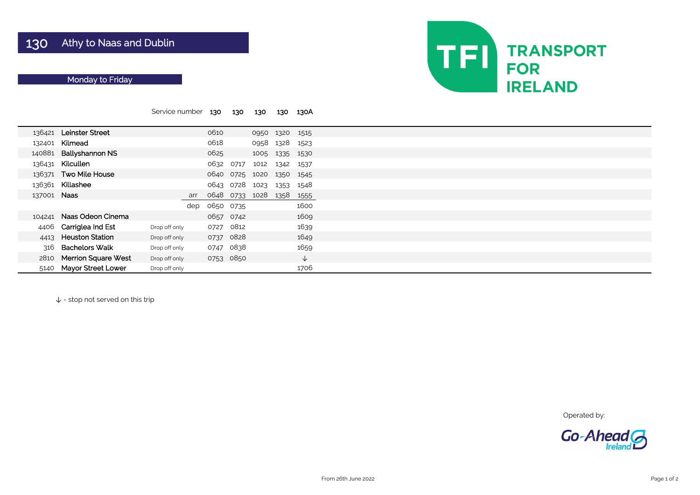|             |                            | Service number |     | 130       | 130       | 130  | 130  | 130A         |
|-------------|----------------------------|----------------|-----|-----------|-----------|------|------|--------------|
|             |                            |                |     |           |           |      |      |              |
|             | 136421 Leinster Street     |                |     | 0610      |           | 0950 | 1320 | 1515         |
| 132401      | Kilmead                    |                |     | 0618      |           | 0958 | 1328 | 1523         |
| 140881      | <b>Ballyshannon NS</b>     |                |     | 0625      |           | 1005 | 1335 | 1530         |
| 136431      | Kilcullen                  |                |     | 0632      | 0717      | 1012 | 1342 | 1537         |
|             | 136371 Two Mile House      |                |     | 0640      | 0725      | 1020 | 1350 | 1545         |
| 136361      | Killashee                  |                |     |           | 0643 0728 | 1023 | 1353 | 1548         |
| 137001 Naas |                            |                | arr | 0648      | 0733      | 1028 | 1358 | 1555         |
|             |                            |                | dep | 0650 0735 |           |      |      | 1600         |
| 104241      | Naas Odeon Cinema          |                |     | 0657 0742 |           |      |      | 1609         |
| 4406        | Carriglea Ind Est          | Drop off only  |     | 0727      | 0812      |      |      | 1639         |
| 4413        | <b>Heuston Station</b>     | Drop off only  |     | 0737      | 0828      |      |      | 1649         |
| 316         | <b>Bachelors Walk</b>      | Drop off only  |     | 0747      | 0838      |      |      | 1659         |
| 2810        | <b>Merrion Square West</b> | Drop off only  |     |           | 0753 0850 |      |      | $\downarrow$ |
| 5140        | <b>Mayor Street Lower</b>  | Drop off only  |     |           |           |      |      | 1706         |

↓ - stop not served on this trip



Operated by:



# Monday to Friday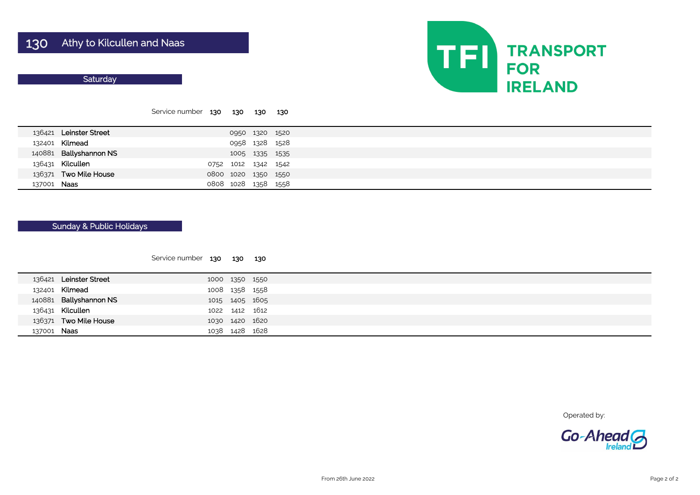#### **Saturday**

|             |                        | Service number 130 130 |           |                     | 130            | - 130 |  |
|-------------|------------------------|------------------------|-----------|---------------------|----------------|-------|--|
|             | 136421 Leinster Street |                        |           |                     | 0950 1320 1520 |       |  |
|             | 132401 Kilmead         |                        |           | 0958 1328 1528      |                |       |  |
|             | 140881 Ballyshannon NS |                        |           |                     | 1005 1335 1535 |       |  |
|             | 136431 Kilcullen       |                        | 0752      | 1012 1342 1542      |                |       |  |
|             | 136371 Two Mile House  |                        | 0800 1020 |                     | 1350 1550      |       |  |
| 137001 Naas |                        |                        |           | 0808 1028 1358 1558 |                |       |  |

| Service number | 130 | 130 | 130 |
|----------------|-----|-----|-----|
|                |     |     |     |

|             | 136421 Leinster Street |  | 1000 1350 1550 |
|-------------|------------------------|--|----------------|
|             | 132401 Kilmead         |  | 1008 1358 1558 |
|             | 140881 Ballyshannon NS |  | 1015 1405 1605 |
|             | 136431 Kilcullen       |  | 1022 1412 1612 |
|             | 136371 Two Mile House  |  | 1030 1420 1620 |
| 137001 Naas |                        |  | 1038 1428 1628 |
|             |                        |  |                |



Operated by:



## Sunday & Public Holidays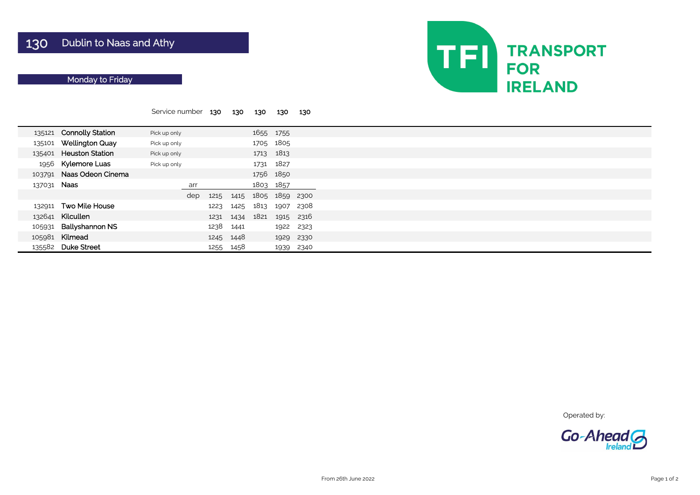|             |                         | Service number | 130  | 130  | 130  | 130            | 130  |  |
|-------------|-------------------------|----------------|------|------|------|----------------|------|--|
|             |                         |                |      |      |      |                |      |  |
|             | 135121 Connolly Station | Pick up only   |      |      | 1655 | 1755           |      |  |
| 135101      | <b>Wellington Quay</b>  | Pick up only   |      |      | 1705 | 1805           |      |  |
|             | 135401 Heuston Station  | Pick up only   |      |      |      | 1713 1813      |      |  |
| 1956        | <b>Kylemore Luas</b>    | Pick up only   |      |      | 1731 | 1827           |      |  |
| 103791      | Naas Odeon Cinema       |                |      |      |      | 1756 1850      |      |  |
| 137031 Naas |                         | arr            |      |      |      | 1803 1857      |      |  |
|             |                         | dep            | 1215 | 1415 |      | 1805 1859 2300 |      |  |
| 132911      | <b>Two Mile House</b>   |                | 1223 | 1425 | 1813 | 1907           | 2308 |  |
| 132641      | Kilcullen               |                | 1231 | 1434 | 1821 | 1915           | 2316 |  |
| 105931      | <b>Ballyshannon NS</b>  |                | 1238 | 1441 |      | 1922           | 2323 |  |
| 105981      | Kilmead                 |                | 1245 | 1448 |      | 1929           | 2330 |  |
| 135582      | <b>Duke Street</b>      |                | 1255 | 1458 |      | 1939           | 2340 |  |

Operated by:



# Monday to Friday